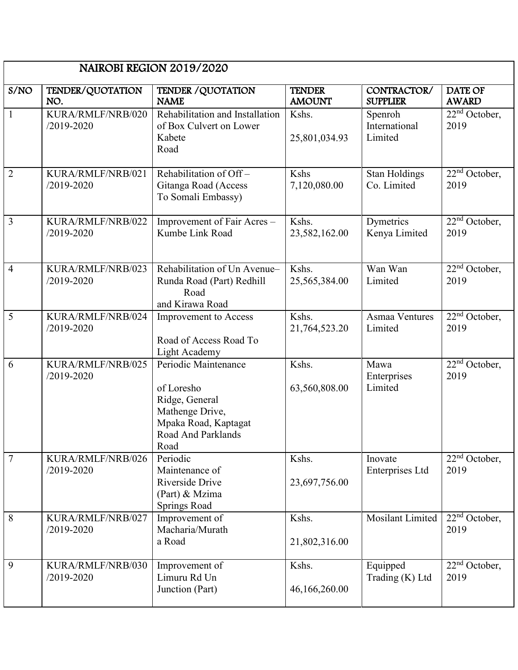|                | NAIROBI REGION 2019/2020            |                                                                                                                               |                                |                                     |                                |  |
|----------------|-------------------------------------|-------------------------------------------------------------------------------------------------------------------------------|--------------------------------|-------------------------------------|--------------------------------|--|
| S/NO           | TENDER/QUOTATION<br>NO.             | <b>TENDER / QUOTATION</b><br><b>NAME</b>                                                                                      | <b>TENDER</b><br><b>AMOUNT</b> | CONTRACTOR/<br><b>SUPPLIER</b>      | <b>DATE OF</b><br><b>AWARD</b> |  |
| $\mathbf{1}$   | KURA/RMLF/NRB/020<br>$/2019 - 2020$ | Rehabilitation and Installation<br>of Box Culvert on Lower<br>Kabete<br>Road                                                  | Kshs.<br>25,801,034.93         | Spenroh<br>International<br>Limited | $22nd$ October,<br>2019        |  |
| $\overline{2}$ | KURA/RMLF/NRB/021<br>/2019-2020     | Rehabilitation of Off-<br>Gitanga Road (Access<br>To Somali Embassy)                                                          | Kshs<br>7,120,080.00           | <b>Stan Holdings</b><br>Co. Limited | $22nd$ October,<br>2019        |  |
| $\overline{3}$ | KURA/RMLF/NRB/022<br>/2019-2020     | Improvement of Fair Acres -<br>Kumbe Link Road                                                                                | Kshs.<br>23,582,162.00         | Dymetrics<br>Kenya Limited          | $22nd$ October,<br>2019        |  |
| $\overline{4}$ | KURA/RMLF/NRB/023<br>/2019-2020     | Rehabilitation of Un Avenue-<br>Runda Road (Part) Redhill<br>Road<br>and Kirawa Road                                          | Kshs.<br>25,565,384.00         | Wan Wan<br>Limited                  | $22nd$ October,<br>2019        |  |
| 5              | KURA/RMLF/NRB/024<br>/2019-2020     | <b>Improvement</b> to Access<br>Road of Access Road To<br>Light Academy                                                       | Kshs.<br>21,764,523.20         | <b>Asmaa Ventures</b><br>Limited    | $22nd$ October,<br>2019        |  |
| 6              | KURA/RMLF/NRB/025<br>/2019-2020     | Periodic Maintenance<br>of Loresho<br>Ridge, General<br>Mathenge Drive,<br>Mpaka Road, Kaptagat<br>Road And Parklands<br>Road | Kshs.<br>63,560,808.00         | Mawa<br>Enterprises<br>Limited      | $22nd$ October,<br>2019        |  |
| $\overline{7}$ | KURA/RMLF/NRB/026<br>/2019-2020     | Periodic<br>Maintenance of<br>Riverside Drive<br>(Part) & Mzima<br>Springs Road                                               | Kshs.<br>23,697,756.00         | Inovate<br>Enterprises Ltd          | $22nd$ October,<br>2019        |  |
| 8              | KURA/RMLF/NRB/027<br>/2019-2020     | Improvement of<br>Macharia/Murath<br>a Road                                                                                   | Kshs.<br>21,802,316.00         | Mosilant Limited                    | $22nd$ October,<br>2019        |  |
| 9              | KURA/RMLF/NRB/030<br>/2019-2020     | Improvement of<br>Limuru Rd Un<br>Junction (Part)                                                                             | Kshs.<br>46,166,260.00         | Equipped<br>Trading (K) Ltd         | $22nd$ October,<br>2019        |  |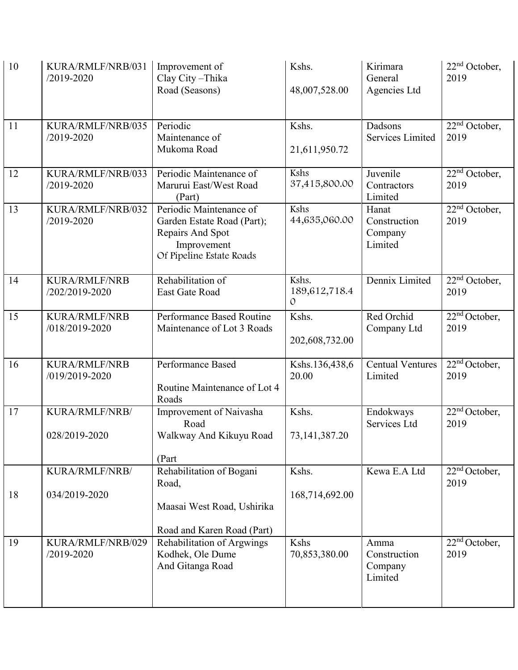| 10 | KURA/RMLF/NRB/031<br>/2019-2020        | Improvement of<br>Clay City-Thika<br>Road (Seasons)                                                                  | Kshs.<br>48,007,528.00                  | Kirimara<br>General<br>Agencies Ltd         | 22 <sup>nd</sup> October,<br>2019 |
|----|----------------------------------------|----------------------------------------------------------------------------------------------------------------------|-----------------------------------------|---------------------------------------------|-----------------------------------|
| 11 | KURA/RMLF/NRB/035<br>/2019-2020        | Periodic<br>Maintenance of<br>Mukoma Road                                                                            | Kshs.<br>21,611,950.72                  | Dadsons<br>Services Limited                 | $22nd$ October,<br>2019           |
| 12 | KURA/RMLF/NRB/033<br>/2019-2020        | Periodic Maintenance of<br>Marurui East/West Road<br>(Part)                                                          | Kshs<br>37,415,800.00                   | Juvenile<br>Contractors<br>Limited          | $22nd$ October,<br>2019           |
| 13 | KURA/RMLF/NRB/032<br>/2019-2020        | Periodic Maintenance of<br>Garden Estate Road (Part);<br>Repairs And Spot<br>Improvement<br>Of Pipeline Estate Roads | Kshs<br>44,635,060.00                   | Hanat<br>Construction<br>Company<br>Limited | $22nd$ October,<br>2019           |
| 14 | <b>KURA/RMLF/NRB</b><br>/202/2019-2020 | Rehabilitation of<br>East Gate Road                                                                                  | Kshs.<br>189,612,718.4<br>$\mathcal{O}$ | Dennix Limited                              | $22nd$ October,<br>2019           |
| 15 | <b>KURA/RMLF/NRB</b><br>/018/2019-2020 | Performance Based Routine<br>Maintenance of Lot 3 Roads                                                              | Kshs.<br>202,608,732.00                 | Red Orchid<br>Company Ltd                   | 22 <sup>nd</sup> October,<br>2019 |
| 16 | <b>KURA/RMLF/NRB</b><br>/019/2019-2020 | Performance Based<br>Routine Maintenance of Lot 4<br>Roads                                                           | Kshs.136,438,6<br>20.00                 | <b>Centual Ventures</b><br>Limited          | $22nd$ October,<br>2019           |
| 17 | KURA/RMLF/NRB/<br>028/2019-2020        | Improvement of Naivasha<br>Road<br>Walkway And Kikuyu Road<br>(Part                                                  | Kshs.<br>73, 141, 387. 20               | Endokways<br>Services Ltd                   | $22nd$ October,<br>2019           |
| 18 | KURA/RMLF/NRB/<br>034/2019-2020        | Rehabilitation of Bogani<br>Road,<br>Maasai West Road, Ushirika<br>Road and Karen Road (Part)                        | Kshs.<br>168,714,692.00                 | Kewa E.A Ltd                                | 22 <sup>nd</sup> October,<br>2019 |
| 19 | KURA/RMLF/NRB/029<br>/2019-2020        | Rehabilitation of Argwings<br>Kodhek, Ole Dume<br>And Gitanga Road                                                   | Kshs<br>70,853,380.00                   | Amma<br>Construction<br>Company<br>Limited  | 22 <sup>nd</sup> October,<br>2019 |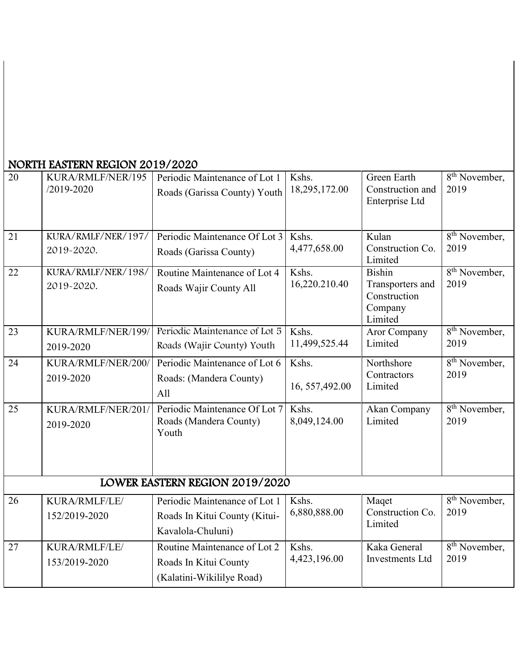| 20              | KURA/RMLF/NER/195<br>/2019-2020  | Periodic Maintenance of Lot 1<br>Roads (Garissa County) Youth                       | Kshs.<br>18,295,172.00   | <b>Green Earth</b><br>Construction and<br>Enterprise Ltd                | 8 <sup>th</sup> November,<br>2019              |
|-----------------|----------------------------------|-------------------------------------------------------------------------------------|--------------------------|-------------------------------------------------------------------------|------------------------------------------------|
| $\overline{21}$ | KURA/RMLF/NER/197/<br>2019-2020. | Periodic Maintenance Of Lot 3<br>Roads (Garissa County)                             | Kshs.<br>4,477,658.00    | Kulan<br>Construction Co.<br>Limited                                    | 8 <sup>th</sup> November,<br>2019              |
| $\overline{22}$ | KURA/RMLF/NER/198/<br>2019-2020. | Routine Maintenance of Lot 4<br>Roads Wajir County All                              | Kshs.<br>16,220.210.40   | <b>Bishin</b><br>Transporters and<br>Construction<br>Company<br>Limited | $\overline{8}$ <sup>th</sup> November,<br>2019 |
| 23              | KURA/RMLF/NER/199/<br>2019-2020  | Periodic Maintenance of Lot 5<br>Roads (Wajir County) Youth                         | Kshs.<br>11,499,525.44   | <b>Aror Company</b><br>Limited                                          | 8 <sup>th</sup> November,<br>2019              |
| 24              | KURA/RMLF/NER/200/<br>2019-2020  | Periodic Maintenance of Lot 6<br>Roads: (Mandera County)<br>All                     | Kshs.<br>16, 557, 492.00 | Northshore<br>Contractors<br>Limited                                    | 8 <sup>th</sup> November,<br>2019              |
| 25              | KURA/RMLF/NER/201/<br>2019-2020  | Periodic Maintenance Of Lot 7<br>Roads (Mandera County)<br>Youth                    | Kshs.<br>8,049,124.00    | Akan Company<br>Limited                                                 | 8 <sup>th</sup> November,<br>2019              |
|                 |                                  | LOWER EASTERN REGION 2019/2020                                                      |                          |                                                                         |                                                |
| $\overline{26}$ | KURA/RMLF/LE/<br>152/2019-2020   | Periodic Maintenance of Lot 1<br>Roads In Kitui County (Kitui-<br>Kavalola-Chuluni) | Kshs.<br>6,880,888.00    | Maqet<br>Construction Co.<br>Limited                                    | 8 <sup>th</sup> November,<br>2019              |
| $\overline{27}$ | KURA/RMLF/LE/<br>153/2019-2020   | Routine Maintenance of Lot 2<br>Roads In Kitui County<br>(Kalatini-Wikililye Road)  | Kshs.<br>4,423,196.00    | Kaka General<br><b>Investments</b> Ltd                                  | $8th$ November,<br>2019                        |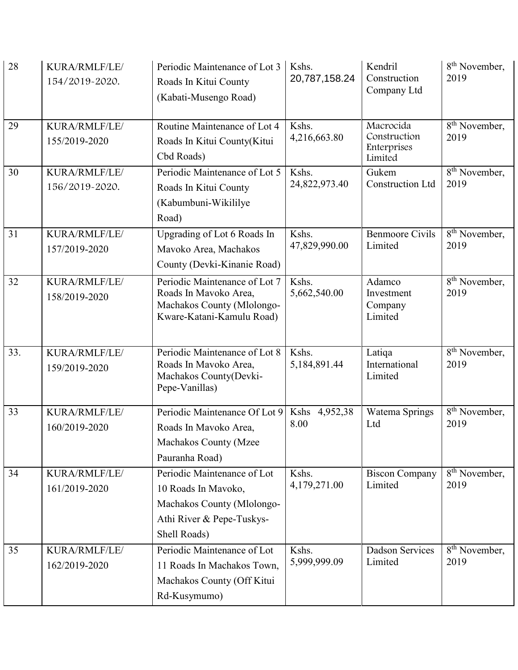| 28  | KURA/RMLF/LE/<br>154/2019-2020. | Periodic Maintenance of Lot 3<br>Roads In Kitui County<br>(Kabati-Musengo Road)                                               | Kshs.<br>20,787,158.24   | Kendril<br>Construction<br>Company Ltd              | 8 <sup>th</sup> November,<br>2019              |
|-----|---------------------------------|-------------------------------------------------------------------------------------------------------------------------------|--------------------------|-----------------------------------------------------|------------------------------------------------|
| 29  | KURA/RMLF/LE/<br>155/2019-2020  | Routine Maintenance of Lot 4<br>Roads In Kitui County(Kitui<br>Cbd Roads)                                                     | Kshs.<br>4,216,663.80    | Macrocida<br>Construction<br>Enterprises<br>Limited | $\overline{8}$ <sup>th</sup> November,<br>2019 |
| 30  | KURA/RMLF/LE/<br>156/2019-2020. | Periodic Maintenance of Lot 5<br>Roads In Kitui County<br>(Kabumbuni-Wikililye<br>Road)                                       | Kshs.<br>24,822,973.40   | Gukem<br><b>Construction Ltd</b>                    | $\overline{8}$ <sup>th</sup> November,<br>2019 |
| 31  | KURA/RMLF/LE/<br>157/2019-2020  | Upgrading of Lot 6 Roads In<br>Mavoko Area, Machakos<br>County (Devki-Kinanie Road)                                           | Kshs.<br>47,829,990.00   | <b>Benmoore Civils</b><br>Limited                   | 8 <sup>th</sup> November,<br>2019              |
| 32  | KURA/RMLF/LE/<br>158/2019-2020  | Periodic Maintenance of Lot 7<br>Roads In Mavoko Area,<br>Machakos County (Mlolongo-<br>Kware-Katani-Kamulu Road)             | Kshs.<br>5,662,540.00    | Adamco<br>Investment<br>Company<br>Limited          | $\overline{8}$ <sup>th</sup> November,<br>2019 |
| 33. | KURA/RMLF/LE/<br>159/2019-2020  | Periodic Maintenance of Lot 8<br>Roads In Mavoko Area,<br>Machakos County(Devki-<br>Pepe-Vanillas)                            | Kshs.<br>5,184,891.44    | Latiqa<br>International<br>Limited                  | $8th$ November,<br>2019                        |
| 33  | KURA/RMLF/LE/<br>160/2019-2020  | Periodic Maintenance Of Lot 9<br>Roads In Mavoko Area,<br>Machakos County (Mzee<br>Pauranha Road)                             | 4,952,38<br>Kshs<br>8.00 | Watema Springs<br>Ltd                               | 8 <sup>th</sup> November,<br>2019              |
| 34  | KURA/RMLF/LE/<br>161/2019-2020  | Periodic Maintenance of Lot<br>10 Roads In Mavoko,<br>Machakos County (Mlolongo-<br>Athi River & Pepe-Tuskys-<br>Shell Roads) | Kshs.<br>4,179,271.00    | <b>Biscon Company</b><br>Limited                    | 8 <sup>th</sup> November,<br>2019              |
| 35  | KURA/RMLF/LE/<br>162/2019-2020  | Periodic Maintenance of Lot<br>11 Roads In Machakos Town,<br>Machakos County (Off Kitui<br>Rd-Kusymumo)                       | Kshs.<br>5,999,999.09    | <b>Dadson Services</b><br>Limited                   | 8 <sup>th</sup> November,<br>2019              |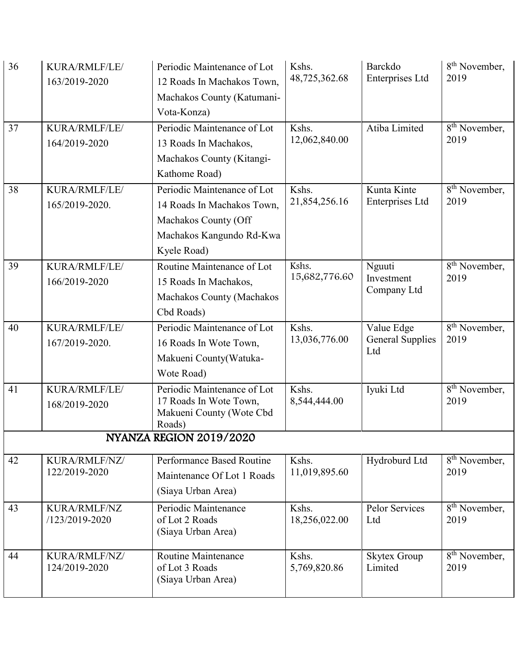| 36 | KURA/RMLF/LE/<br>163/2019-2020        | Periodic Maintenance of Lot<br>12 Roads In Machakos Town,<br>Machakos County (Katumani-<br>Vota-Konza)                       | Kshs.<br>48,725,362.68 | Barckdo<br>Enterprises Ltd                   | 8 <sup>th</sup> November,<br>2019 |
|----|---------------------------------------|------------------------------------------------------------------------------------------------------------------------------|------------------------|----------------------------------------------|-----------------------------------|
| 37 | KURA/RMLF/LE/<br>164/2019-2020        | Periodic Maintenance of Lot<br>13 Roads In Machakos,<br>Machakos County (Kitangi-<br>Kathome Road)                           | Kshs.<br>12,062,840.00 | Atiba Limited                                | 8 <sup>th</sup> November,<br>2019 |
| 38 | KURA/RMLF/LE/<br>165/2019-2020.       | Periodic Maintenance of Lot<br>14 Roads In Machakos Town,<br>Machakos County (Off<br>Machakos Kangundo Rd-Kwa<br>Kyele Road) | Kshs.<br>21,854,256.16 | Kunta Kinte<br>Enterprises Ltd               | 8 <sup>th</sup> November,<br>2019 |
| 39 | KURA/RMLF/LE/<br>166/2019-2020        | Routine Maintenance of Lot<br>15 Roads In Machakos,<br>Machakos County (Machakos<br>Cbd Roads)                               | Kshs.<br>15,682,776.60 | Nguuti<br>Investment<br>Company Ltd          | 8 <sup>th</sup> November,<br>2019 |
| 40 | KURA/RMLF/LE/<br>167/2019-2020.       | Periodic Maintenance of Lot<br>16 Roads In Wote Town,<br>Makueni County(Watuka-<br>Wote Road)                                | Kshs.<br>13,036,776.00 | Value Edge<br><b>General Supplies</b><br>Ltd | 8 <sup>th</sup> November,<br>2019 |
| 41 | KURA/RMLF/LE/<br>168/2019-2020        | Periodic Maintenance of Lot<br>17 Roads In Wote Town,<br>Makueni County (Wote Cbd<br>Roads)                                  | Kshs.<br>8,544,444.00  | Iyuki Ltd                                    | 8 <sup>th</sup> November,<br>2019 |
|    |                                       | NYANZA REGION 2019/2020                                                                                                      |                        |                                              |                                   |
| 42 | KURA/RMLF/NZ/<br>122/2019-2020        | Performance Based Routine<br>Maintenance Of Lot 1 Roads<br>(Siaya Urban Area)                                                | Kshs.<br>11,019,895.60 | Hydroburd Ltd                                | 8 <sup>th</sup> November,<br>2019 |
| 43 | <b>KURA/RMLF/NZ</b><br>/123/2019-2020 | Periodic Maintenance<br>of Lot 2 Roads<br>(Siaya Urban Area)                                                                 | Kshs.<br>18,256,022.00 | Pelor Services<br>Ltd                        | $8th$ November,<br>2019           |
| 44 | KURA/RMLF/NZ/<br>124/2019-2020        | <b>Routine Maintenance</b><br>of Lot 3 Roads<br>(Siaya Urban Area)                                                           | Kshs.<br>5,769,820.86  | <b>Skytex Group</b><br>Limited               | 8 <sup>th</sup> November,<br>2019 |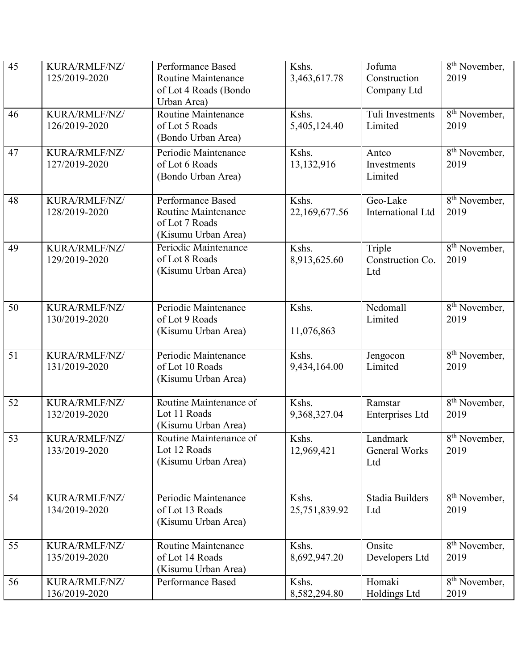| 45              | KURA/RMLF/NZ/<br>125/2019-2020 | <b>Performance Based</b><br>Routine Maintenance<br>of Lot 4 Roads (Bondo<br>Urban Area) | Kshs.<br>3,463,617.78  | Jofuma<br>Construction<br>Company Ltd | 8 <sup>th</sup> November,<br>2019              |
|-----------------|--------------------------------|-----------------------------------------------------------------------------------------|------------------------|---------------------------------------|------------------------------------------------|
| 46              | KURA/RMLF/NZ/<br>126/2019-2020 | Routine Maintenance<br>of Lot 5 Roads<br>(Bondo Urban Area)                             | Kshs.<br>5,405,124.40  | Tuli Investments<br>Limited           | 8 <sup>th</sup> November,<br>2019              |
| $47\,$          | KURA/RMLF/NZ/<br>127/2019-2020 | Periodic Maintenance<br>of Lot 6 Roads<br>(Bondo Urban Area)                            | Kshs.<br>13,132,916    | Antco<br>Investments<br>Limited       | 8 <sup>th</sup> November,<br>2019              |
| 48              | KURA/RMLF/NZ/<br>128/2019-2020 | Performance Based<br>Routine Maintenance<br>of Lot 7 Roads<br>(Kisumu Urban Area)       | Kshs.<br>22,169,677.56 | Geo-Lake<br>International Ltd         | $\overline{8^{th}}$ November,<br>2019          |
| 49              | KURA/RMLF/NZ/<br>129/2019-2020 | Periodic Maintenance<br>of Lot 8 Roads<br>(Kisumu Urban Area)                           | Kshs.<br>8,913,625.60  | Triple<br>Construction Co.<br>Ltd     | 8 <sup>th</sup> November,<br>2019              |
| 50              | KURA/RMLF/NZ/<br>130/2019-2020 | Periodic Maintenance<br>of Lot 9 Roads<br>(Kisumu Urban Area)                           | Kshs.<br>11,076,863    | Nedomall<br>Limited                   | $8th$ November,<br>2019                        |
| 51              | KURA/RMLF/NZ/<br>131/2019-2020 | Periodic Maintenance<br>of Lot 10 Roads<br>(Kisumu Urban Area)                          | Kshs.<br>9,434,164.00  | Jengocon<br>Limited                   | $\overline{8}$ <sup>th</sup> November,<br>2019 |
| $\overline{52}$ | KURA/RMLF/NZ/<br>132/2019-2020 | Routine Maintenance of<br>Lot 11 Roads<br>(Kisumu Urban Area)                           | Kshs.<br>9,368,327.04  | Ramstar<br>Enterprises Ltd            | $\overline{8^{th}}$ November,<br>2019          |
| 53              | KURA/RMLF/NZ/<br>133/2019-2020 | Routine Maintenance of<br>Lot 12 Roads<br>(Kisumu Urban Area)                           | Kshs.<br>12,969,421    | Landmark<br>General Works<br>Ltd      | 8 <sup>th</sup> November,<br>2019              |
| 54              | KURA/RMLF/NZ/<br>134/2019-2020 | Periodic Maintenance<br>of Lot 13 Roads<br>(Kisumu Urban Area)                          | Kshs.<br>25,751,839.92 | Stadia Builders<br>Ltd                | 8 <sup>th</sup> November,<br>2019              |
| 55              | KURA/RMLF/NZ/<br>135/2019-2020 | Routine Maintenance<br>of Lot 14 Roads<br>(Kisumu Urban Area)                           | Kshs.<br>8,692,947.20  | Onsite<br>Developers Ltd              | 8 <sup>th</sup> November,<br>2019              |
| 56              | KURA/RMLF/NZ/<br>136/2019-2020 | Performance Based                                                                       | Kshs.<br>8,582,294.80  | Homaki<br>Holdings Ltd                | $\overline{8^{th}}$ November,<br>2019          |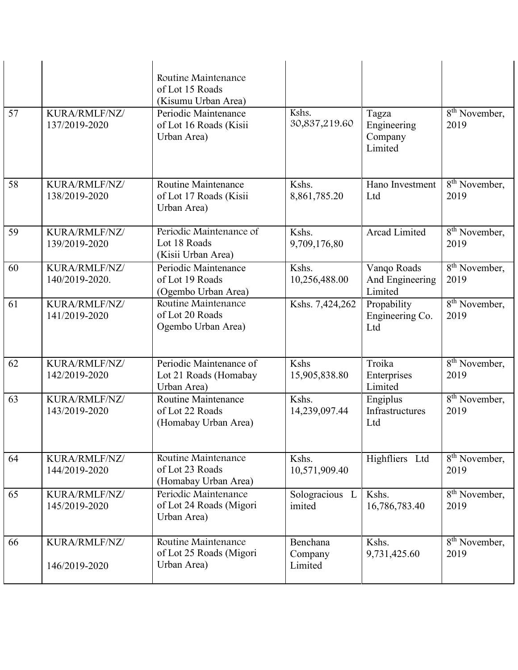| 57 | KURA/RMLF/NZ/<br>137/2019-2020  | Routine Maintenance<br>of Lot 15 Roads<br>(Kisumu Urban Area)<br>Periodic Maintenance<br>of Lot 16 Roads (Kisii<br>Urban Area) | Kshs.<br>30,837,219.60         | Tagza<br>Engineering<br>Company<br>Limited | 8 <sup>th</sup> November,<br>2019              |
|----|---------------------------------|--------------------------------------------------------------------------------------------------------------------------------|--------------------------------|--------------------------------------------|------------------------------------------------|
| 58 | KURA/RMLF/NZ/<br>138/2019-2020  | Routine Maintenance<br>of Lot 17 Roads (Kisii<br>Urban Area)                                                                   | Kshs.<br>8,861,785.20          | Hano Investment<br>Ltd                     | 8 <sup>th</sup> November,<br>2019              |
| 59 | KURA/RMLF/NZ/<br>139/2019-2020  | Periodic Maintenance of<br>Lot 18 Roads<br>(Kisii Urban Area)                                                                  | Kshs.<br>9,709,176,80          | <b>Arcad Limited</b>                       | $\overline{8^{th}}$ November,<br>2019          |
| 60 | KURA/RMLF/NZ/<br>140/2019-2020. | Periodic Maintenance<br>of Lot 19 Roads<br>(Ogembo Urban Area)                                                                 | Kshs.<br>10,256,488.00         | Vanqo Roads<br>And Engineering<br>Limited  | 8 <sup>th</sup> November,<br>2019              |
| 61 | KURA/RMLF/NZ/<br>141/2019-2020  | Routine Maintenance<br>of Lot 20 Roads<br>Ogembo Urban Area)                                                                   | Kshs. 7,424,262                | Propability<br>Engineering Co.<br>Ltd      | 8 <sup>th</sup> November,<br>2019              |
| 62 | KURA/RMLF/NZ/<br>142/2019-2020  | Periodic Maintenance of<br>Lot 21 Roads (Homabay<br>Urban Area)                                                                | Kshs<br>15,905,838.80          | Troika<br>Enterprises<br>Limited           | $\overline{8}$ <sup>th</sup> November,<br>2019 |
| 63 | KURA/RMLF/NZ/<br>143/2019-2020  | <b>Routine Maintenance</b><br>of Lot 22 Roads<br>(Homabay Urban Area)                                                          | Kshs.<br>14,239,097.44         | Engiplus<br>Infrastructures<br>Ltd         | 8 <sup>th</sup> November,<br>2019              |
| 64 | KURA/RMLF/NZ/<br>144/2019-2020  | Routine Maintenance<br>of Lot 23 Roads<br>(Homabay Urban Area)                                                                 | Kshs.<br>10,571,909.40         | Highfliers Ltd                             | 8 <sup>th</sup> November,<br>2019              |
| 65 | KURA/RMLF/NZ/<br>145/2019-2020  | Periodic Maintenance<br>of Lot 24 Roads (Migori<br>Urban Area)                                                                 | Sologracious L<br>imited       | Kshs.<br>16,786,783.40                     | $\overline{8}$ <sup>th</sup> November,<br>2019 |
| 66 | KURA/RMLF/NZ/<br>146/2019-2020  | Routine Maintenance<br>of Lot 25 Roads (Migori<br>Urban Area)                                                                  | Benchana<br>Company<br>Limited | Kshs.<br>9,731,425.60                      | 8 <sup>th</sup> November,<br>2019              |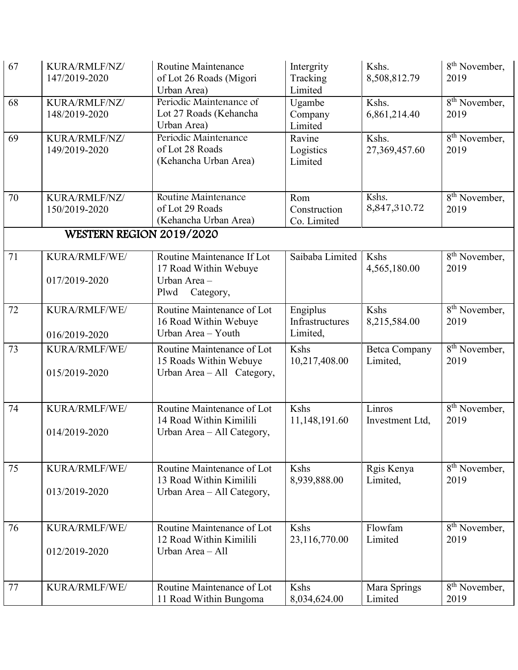| 67 | KURA/RMLF/NZ/<br>147/2019-2020 | <b>Routine Maintenance</b><br>of Lot 26 Roads (Migori<br>Urban Area)                     | Intergrity<br>Tracking<br>Limited       | Kshs.<br>8,508,812.79            | 8 <sup>th</sup> November,<br>2019              |
|----|--------------------------------|------------------------------------------------------------------------------------------|-----------------------------------------|----------------------------------|------------------------------------------------|
| 68 | KURA/RMLF/NZ/<br>148/2019-2020 | Periodic Maintenance of<br>Lot 27 Roads (Kehancha<br>Urban Area)                         | Ugambe<br>Company<br>Limited            | Kshs.<br>6,861,214.40            | $8th$ November,<br>2019                        |
| 69 | KURA/RMLF/NZ/<br>149/2019-2020 | Periodic Maintenance<br>of Lot 28 Roads<br>(Kehancha Urban Area)                         | Ravine<br>Logistics<br>Limited          | Kshs.<br>27,369,457.60           | 8 <sup>th</sup> November,<br>2019              |
| 70 | KURA/RMLF/NZ/<br>150/2019-2020 | Routine Maintenance<br>of Lot 29 Roads<br>(Kehancha Urban Area)                          | Rom<br>Construction<br>Co. Limited      | Kshs.<br>8,847,310.72            | $\overline{8^{th}}$ November,<br>2019          |
|    | WESTERN REGION 2019/2020       |                                                                                          |                                         |                                  |                                                |
| 71 | KURA/RMLF/WE/<br>017/2019-2020 | Routine Maintenance If Lot<br>17 Road Within Webuye<br>Urban Area -<br>Plwd<br>Category, | Saibaba Limited                         | Kshs<br>4,565,180.00             | 8 <sup>th</sup> November,<br>2019              |
| 72 | KURA/RMLF/WE/<br>016/2019-2020 | Routine Maintenance of Lot<br>16 Road Within Webuye<br>Urban Area - Youth                | Engiplus<br>Infrastructures<br>Limited, | Kshs<br>8,215,584.00             | $\overline{8^{th}}$ November,<br>2019          |
| 73 | KURA/RMLF/WE/<br>015/2019-2020 | Routine Maintenance of Lot<br>15 Roads Within Webuye<br>Urban Area - All Category,       | Kshs<br>10,217,408.00                   | <b>Betca Company</b><br>Limited, | 8 <sup>th</sup> November,<br>2019              |
| 74 | KURA/RMLF/WE/<br>014/2019-2020 | Routine Maintenance of Lot<br>14 Road Within Kimilili<br>Urban Area - All Category,      | Kshs<br>11,148,191.60                   | Linros<br>Investment Ltd,        | 8 <sup>th</sup> November,<br>2019              |
| 75 | KURA/RMLF/WE/<br>013/2019-2020 | Routine Maintenance of Lot<br>13 Road Within Kimilili<br>Urban Area - All Category,      | Kshs<br>8,939,888.00                    | Rgis Kenya<br>Limited,           | 8 <sup>th</sup> November,<br>2019              |
| 76 | KURA/RMLF/WE/<br>012/2019-2020 | Routine Maintenance of Lot<br>12 Road Within Kimilili<br>Urban Area - All                | Kshs<br>23,116,770.00                   | Flowfam<br>Limited               | $\overline{8}$ <sup>th</sup> November,<br>2019 |
| 77 | KURA/RMLF/WE/                  | Routine Maintenance of Lot<br>11 Road Within Bungoma                                     | Kshs<br>8,034,624.00                    | Mara Springs<br>Limited          | 8 <sup>th</sup> November,<br>2019              |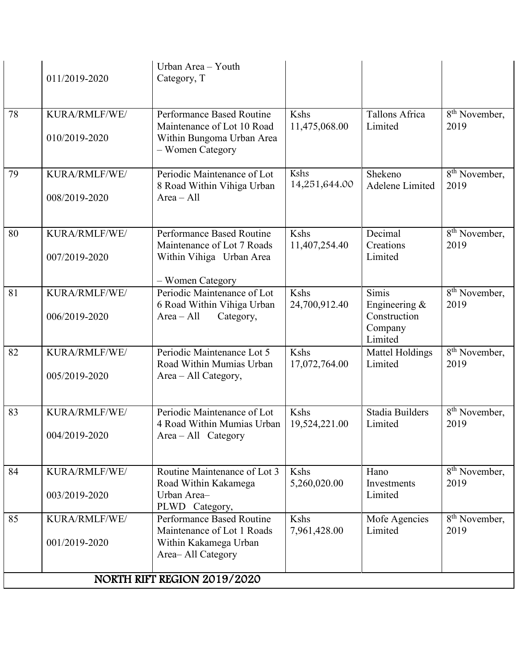|    | 011/2019-2020                  | Urban Area - Youth<br>Category, T                                                                        |                       |                                                                                    |                                                |  |  |
|----|--------------------------------|----------------------------------------------------------------------------------------------------------|-----------------------|------------------------------------------------------------------------------------|------------------------------------------------|--|--|
| 78 | KURA/RMLF/WE/<br>010/2019-2020 | Performance Based Routine<br>Maintenance of Lot 10 Road<br>Within Bungoma Urban Area<br>- Women Category | Kshs<br>11,475,068.00 | Tallons Africa<br>Limited                                                          | $\overline{8}^{\text{th}}$ November,<br>2019   |  |  |
| 79 | KURA/RMLF/WE/<br>008/2019-2020 | Periodic Maintenance of Lot<br>8 Road Within Vihiga Urban<br>$Area - All$                                | Kshs<br>14,251,644.00 | Shekeno<br>Adelene Limited                                                         | $\overline{8}$ <sup>th</sup> November,<br>2019 |  |  |
| 80 | KURA/RMLF/WE/<br>007/2019-2020 | Performance Based Routine<br>Maintenance of Lot 7 Roads<br>Within Vihiga Urban Area<br>- Women Category  | Kshs<br>11,407,254.40 | Decimal<br>Creations<br>Limited                                                    | 8 <sup>th</sup> November,<br>2019              |  |  |
| 81 | KURA/RMLF/WE/<br>006/2019-2020 | Periodic Maintenance of Lot<br>6 Road Within Vihiga Urban<br>$Area - All$<br>Category,                   | Kshs<br>24,700,912.40 | $\overline{\text{Simis}}$<br>Engineering $&$<br>Construction<br>Company<br>Limited | $\overline{8}$ <sup>th</sup> November,<br>2019 |  |  |
| 82 | KURA/RMLF/WE/<br>005/2019-2020 | Periodic Maintenance Lot 5<br>Road Within Mumias Urban<br>Area – All Category,                           | Kshs<br>17,072,764.00 | <b>Mattel Holdings</b><br>Limited                                                  | $\overline{8}$ <sup>th</sup> November,<br>2019 |  |  |
| 83 | KURA/RMLF/WE/<br>004/2019-2020 | Periodic Maintenance of Lot<br>4 Road Within Mumias Urban<br>Area - All Category                         | Kshs<br>19,524,221.00 | <b>Stadia Builders</b><br>Limited                                                  | $\overline{8}^{\text{th}}$ November,<br>2019   |  |  |
| 84 | KURA/RMLF/WE/<br>003/2019-2020 | Routine Maintenance of Lot 3<br>Road Within Kakamega<br>Urban Area-<br>PLWD Category,                    | Kshs<br>5,260,020.00  | Hano<br>Investments<br>Limited                                                     | 8 <sup>th</sup> November,<br>2019              |  |  |
| 85 | KURA/RMLF/WE/<br>001/2019-2020 | Performance Based Routine<br>Maintenance of Lot 1 Roads<br>Within Kakamega Urban<br>Area-All Category    | Kshs<br>7,961,428.00  | Mofe Agencies<br>Limited                                                           | 8 <sup>th</sup> November,<br>2019              |  |  |
|    | NORTH RIFT REGION 2019/2020    |                                                                                                          |                       |                                                                                    |                                                |  |  |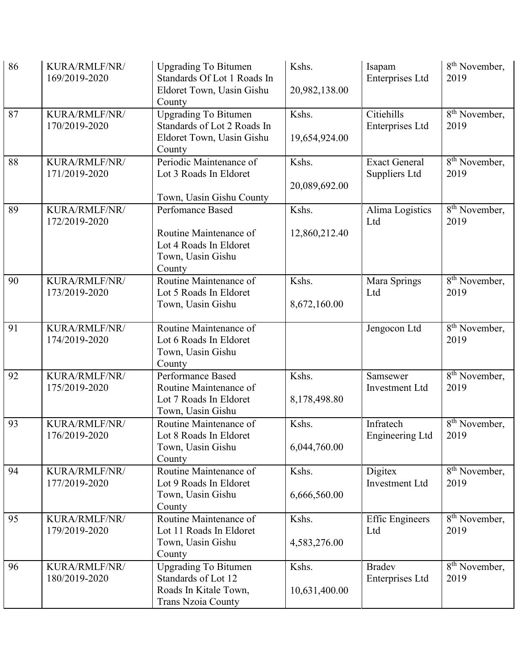| 86 | KURA/RMLF/NR/<br>169/2019-2020 | <b>Upgrading To Bitumen</b><br>Standards Of Lot 1 Roads In<br>Eldoret Town, Uasin Gishu<br>County        | Kshs.<br>20,982,138.00 | Isapam<br>Enterprises Ltd               | 8 <sup>th</sup> November,<br>2019              |
|----|--------------------------------|----------------------------------------------------------------------------------------------------------|------------------------|-----------------------------------------|------------------------------------------------|
| 87 | KURA/RMLF/NR/<br>170/2019-2020 | <b>Upgrading To Bitumen</b><br>Standards of Lot 2 Roads In<br>Eldoret Town, Uasin Gishu<br>County        | Kshs.<br>19,654,924.00 | Citiehills<br><b>Enterprises Ltd</b>    | $\overline{8}$ <sup>th</sup> November,<br>2019 |
| 88 | KURA/RMLF/NR/<br>171/2019-2020 | Periodic Maintenance of<br>Lot 3 Roads In Eldoret<br>Town, Uasin Gishu County                            | Kshs.<br>20,089,692.00 | <b>Exact General</b><br>Suppliers Ltd   | $8th$ November,<br>2019                        |
| 89 | KURA/RMLF/NR/<br>172/2019-2020 | Perfomance Based<br>Routine Maintenance of<br>Lot 4 Roads In Eldoret<br>Town, Uasin Gishu<br>County      | Kshs.<br>12,860,212.40 | Alima Logistics<br>Ltd                  | $\overline{8}$ <sup>th</sup> November,<br>2019 |
| 90 | KURA/RMLF/NR/<br>173/2019-2020 | Routine Maintenance of<br>Lot 5 Roads In Eldoret<br>Town, Uasin Gishu                                    | Kshs.<br>8,672,160.00  | Mara Springs<br>Ltd                     | $\overline{8}$ <sup>th</sup> November,<br>2019 |
| 91 | KURA/RMLF/NR/<br>174/2019-2020 | Routine Maintenance of<br>Lot 6 Roads In Eldoret<br>Town, Uasin Gishu<br>County                          |                        | Jengocon Ltd                            | $\overline{8}$ <sup>th</sup> November,<br>2019 |
| 92 | KURA/RMLF/NR/<br>175/2019-2020 | Performance Based<br>Routine Maintenance of<br>Lot 7 Roads In Eldoret<br>Town, Uasin Gishu               | Kshs.<br>8,178,498.80  | Samsewer<br><b>Investment Ltd</b>       | $\overline{8}$ <sup>th</sup> November,<br>2019 |
| 93 | KURA/RMLF/NR/<br>176/2019-2020 | Routine Maintenance of<br>Lot 8 Roads In Eldoret<br>Town, Uasin Gishu<br>County                          | Kshs.<br>6,044,760.00  | Infratech<br>Engineering Ltd            | $\overline{8^{th}}$ November,<br>2019          |
| 94 | KURA/RMLF/NR/<br>177/2019-2020 | Routine Maintenance of<br>Lot 9 Roads In Eldoret<br>Town, Uasin Gishu<br>County                          | Kshs.<br>6,666,560.00  | Digitex<br><b>Investment Ltd</b>        | $\overline{8}$ <sup>th</sup> November,<br>2019 |
| 95 | KURA/RMLF/NR/<br>179/2019-2020 | Routine Maintenance of<br>Lot 11 Roads In Eldoret<br>Town, Uasin Gishu<br>County                         | Kshs.<br>4,583,276.00  | <b>Effic Engineers</b><br>Ltd           | 8 <sup>th</sup> November,<br>2019              |
| 96 | KURA/RMLF/NR/<br>180/2019-2020 | <b>Upgrading To Bitumen</b><br>Standards of Lot 12<br>Roads In Kitale Town,<br><b>Trans Nzoia County</b> | Kshs.<br>10,631,400.00 | <b>Bradev</b><br><b>Enterprises Ltd</b> | 8 <sup>th</sup> November,<br>2019              |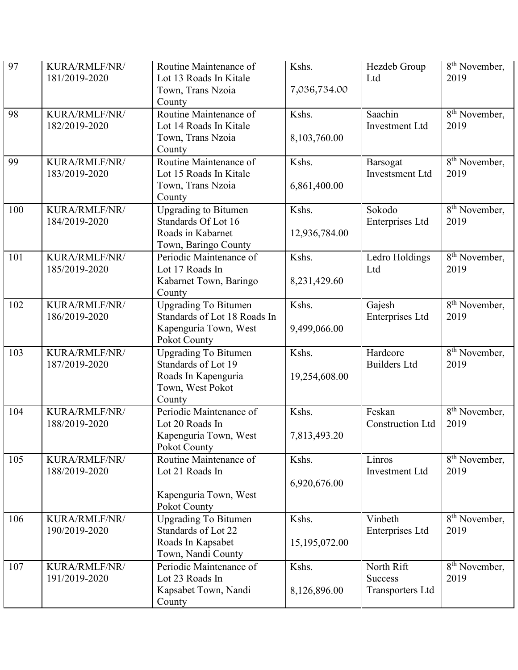| 97  | KURA/RMLF/NR/<br>181/2019-2020 | Routine Maintenance of<br>Lot 13 Roads In Kitale<br>Town, Trans Nzoia<br>County                         | Kshs.<br>7,036,734.00  | Hezdeb Group<br>Ltd                                     | 8 <sup>th</sup> November,<br>2019              |
|-----|--------------------------------|---------------------------------------------------------------------------------------------------------|------------------------|---------------------------------------------------------|------------------------------------------------|
| 98  | KURA/RMLF/NR/<br>182/2019-2020 | Routine Maintenance of<br>Lot 14 Roads In Kitale<br>Town, Trans Nzoia<br>County                         | Kshs.<br>8,103,760.00  | Saachin<br>Investment Ltd                               | 8 <sup>th</sup> November,<br>2019              |
| 99  | KURA/RMLF/NR/<br>183/2019-2020 | Routine Maintenance of<br>Lot 15 Roads In Kitale<br>Town, Trans Nzoia<br>County                         | Kshs.<br>6,861,400.00  | Barsogat<br><b>Investsment Ltd</b>                      | 8 <sup>th</sup> November,<br>2019              |
| 100 | KURA/RMLF/NR/<br>184/2019-2020 | Upgrading to Bitumen<br>Standards Of Lot 16<br>Roads in Kabarnet<br>Town, Baringo County                | Kshs.<br>12,936,784.00 | Sokodo<br>Enterprises Ltd                               | $\overline{8}$ <sup>th</sup> November,<br>2019 |
| 101 | KURA/RMLF/NR/<br>185/2019-2020 | Periodic Maintenance of<br>Lot 17 Roads In<br>Kabarnet Town, Baringo<br>County                          | Kshs.<br>8,231,429.60  | Ledro Holdings<br>Ltd                                   | 8 <sup>th</sup> November,<br>2019              |
| 102 | KURA/RMLF/NR/<br>186/2019-2020 | <b>Upgrading To Bitumen</b><br>Standards of Lot 18 Roads In<br>Kapenguria Town, West<br>Pokot County    | Kshs.<br>9,499,066.00  | Gajesh<br>Enterprises Ltd                               | 8 <sup>th</sup> November,<br>2019              |
| 103 | KURA/RMLF/NR/<br>187/2019-2020 | <b>Upgrading To Bitumen</b><br>Standards of Lot 19<br>Roads In Kapenguria<br>Town, West Pokot<br>County | Kshs.<br>19,254,608.00 | Hardcore<br><b>Builders Ltd</b>                         | $\overline{8}$ <sup>th</sup> November,<br>2019 |
| 104 | KURA/RMLF/NR/<br>188/2019-2020 | Periodic Maintenance of<br>Lot 20 Roads In<br>Kapenguria Town, West<br>Pokot County                     | Kshs.<br>7,813,493.20  | Feskan<br>Construction Ltd                              | $\overline{8}$ <sup>th</sup> November,<br>2019 |
| 105 | KURA/RMLF/NR/<br>188/2019-2020 | Routine Maintenance of<br>Lot 21 Roads In<br>Kapenguria Town, West<br>Pokot County                      | Kshs.<br>6,920,676.00  | Linros<br><b>Investment Ltd</b>                         | 8 <sup>th</sup> November,<br>2019              |
| 106 | KURA/RMLF/NR/<br>190/2019-2020 | <b>Upgrading To Bitumen</b><br>Standards of Lot 22<br>Roads In Kapsabet<br>Town, Nandi County           | Kshs.<br>15,195,072.00 | Vinbeth<br>Enterprises Ltd                              | 8 <sup>th</sup> November,<br>2019              |
| 107 | KURA/RMLF/NR/<br>191/2019-2020 | Periodic Maintenance of<br>Lot 23 Roads In<br>Kapsabet Town, Nandi<br>County                            | Kshs.<br>8,126,896.00  | North Rift<br><b>Success</b><br><b>Transporters Ltd</b> | $\overline{8^{th}}$ November,<br>2019          |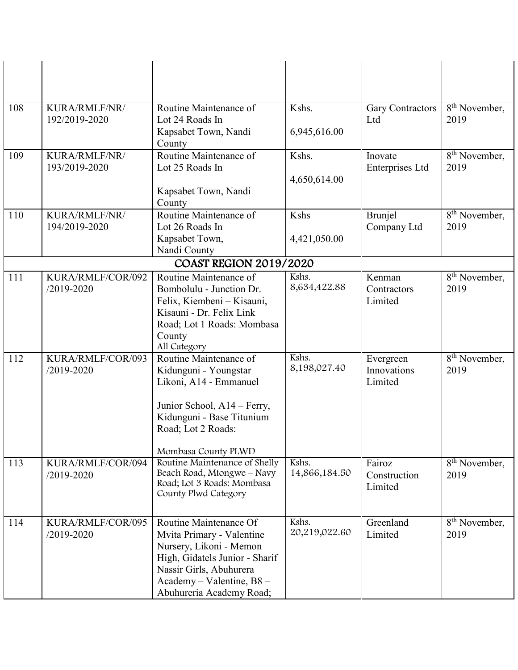| 108 | KURA/RMLF/NR/<br>192/2019-2020      | Routine Maintenance of<br>Lot 24 Roads In<br>Kapsabet Town, Nandi<br>County                                                                                                                          | Kshs.<br>6,945,616.00  | <b>Gary Contractors</b><br>Ltd      | 8 <sup>th</sup> November,<br>2019              |
|-----|-------------------------------------|------------------------------------------------------------------------------------------------------------------------------------------------------------------------------------------------------|------------------------|-------------------------------------|------------------------------------------------|
| 109 | KURA/RMLF/NR/<br>193/2019-2020      | Routine Maintenance of<br>Lot 25 Roads In<br>Kapsabet Town, Nandi<br>County                                                                                                                          | Kshs.<br>4,650,614.00  | Inovate<br>Enterprises Ltd          | $8th$ November,<br>2019                        |
| 110 | KURA/RMLF/NR/<br>194/2019-2020      | Routine Maintenance of<br>Lot 26 Roads In<br>Kapsabet Town,<br>Nandi County                                                                                                                          | Kshs<br>4,421,050.00   | Brunjel<br>Company Ltd              | $\overline{8^{th}}$ November,<br>2019          |
|     |                                     | <b>COAST REGION 2019/2020</b>                                                                                                                                                                        |                        |                                     |                                                |
| 111 | KURA/RMLF/COR/092<br>$/2019 - 2020$ | Routine Maintenance of<br>Bombolulu - Junction Dr.<br>Felix, Kiembeni - Kisauni,<br>Kisauni - Dr. Felix Link<br>Road; Lot 1 Roads: Mombasa<br>County<br>All Category                                 | Kshs.<br>8,634,422.88  | Kenman<br>Contractors<br>Limited    | 8 <sup>th</sup> November,<br>2019              |
| 112 | KURA/RMLF/COR/093<br>$/2019 - 2020$ | Routine Maintenance of<br>Kidunguni - Youngstar -<br>Likoni, A14 - Emmanuel<br>Junior School, A14 – Ferry,<br>Kidunguni - Base Titunium<br>Road; Lot 2 Roads:<br>Mombasa County PLWD                 | Kshs.<br>8,198,027.40  | Evergreen<br>Innovations<br>Limited | $\overline{8}$ <sup>th</sup> November,<br>2019 |
| 113 | KURA/RMLF/COR/094<br>/2019-2020     | Routine Maintenance of Shelly<br>Beach Road, Mtongwe - Navy<br>Road; Lot 3 Roads: Mombasa<br>County Plwd Category                                                                                    | Kshs.<br>14,866,184.50 | Fairoz<br>Construction<br>Limited   | 8 <sup>th</sup> November,<br>2019              |
| 114 | KURA/RMLF/COR/095<br>/2019-2020     | Routine Maintenance Of<br>Mvita Primary - Valentine<br>Nursery, Likoni - Memon<br>High, Gidatels Junior - Sharif<br>Nassir Girls, Abuhurera<br>Academy - Valentine, B8 -<br>Abuhureria Academy Road; | Kshs.<br>20,219,022.60 | Greenland<br>Limited                | 8 <sup>th</sup> November,<br>2019              |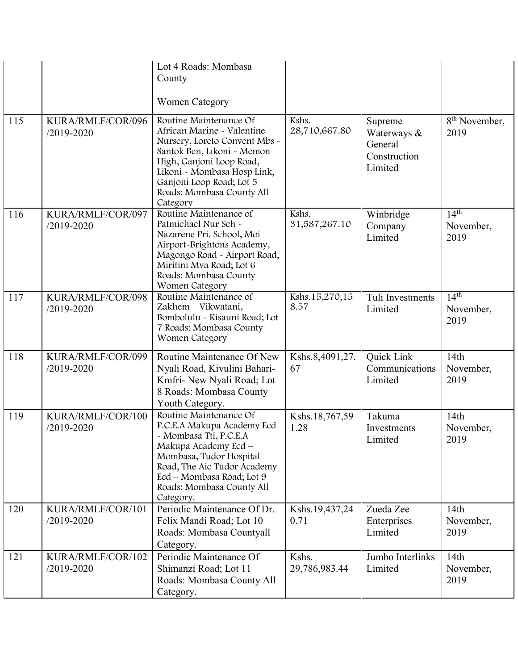|     |                                 | Lot 4 Roads: Mombasa<br>County<br><b>Women Category</b>                                                                                                                                                                                             |                        |                                                              |                                       |
|-----|---------------------------------|-----------------------------------------------------------------------------------------------------------------------------------------------------------------------------------------------------------------------------------------------------|------------------------|--------------------------------------------------------------|---------------------------------------|
| 115 | KURA/RMLF/COR/096<br>/2019-2020 | Routine Maintenance Of<br>African Marine - Valentine<br>Nursery, Loreto Convent Mbs -<br>Santok Ben, Likoni - Memon<br>High, Ganjoni Loop Road,<br>Likoni - Mombasa Hosp Link,<br>Ganjoni Loop Road; Lot 5<br>Roads: Mombasa County All<br>Category | Kshs.<br>28,710,667.80 | Supreme<br>Waterways &<br>General<br>Construction<br>Limited | 8 <sup>th</sup> November,<br>2019     |
| 116 | KURA/RMLF/COR/097<br>/2019-2020 | Routine Maintenance of<br>Patmichael Nur Sch -<br>Nazarene Pri. School, Moi<br>Airport-Brightons Academy,<br>Magongo Road - Airport Road,<br>Miritini Mva Road; Lot 6<br>Roads: Mombasa County<br>Women Category                                    | Kshs.<br>31,587,267.10 | Winbridge<br>Company<br>Limited                              | 14 <sup>th</sup><br>November,<br>2019 |
| 117 | KURA/RMLF/COR/098<br>/2019-2020 | Routine Maintenance of<br>Zakhem - Vikwatani,<br>Bombolulu - Kisauni Road; Lot<br>7 Roads: Mombasa County<br>Women Category                                                                                                                         | Kshs.15,270,15<br>8.57 | Tuli Investments<br>Limited                                  | 14 <sup>th</sup><br>November,<br>2019 |
| 118 | KURA/RMLF/COR/099<br>/2019-2020 | Routine Maintenance Of New<br>Nyali Road, Kivulini Bahari-<br>Kmfri- New Nyali Road; Lot<br>8 Roads: Mombasa County<br>Youth Category.                                                                                                              | Kshs.8,4091,27.<br>67  | Quick Link<br>Communications<br>Limited                      | 14th<br>November,<br>2019             |
| 119 | KURA/RMLF/COR/100<br>/2019-2020 | Routine Maintenance Of<br>P.C.E.A Makupa Academy Ecd<br>- Mombasa Tti, P.C.E.A<br>Makupa Academy Ecd-<br>Mombasa, Tudor Hospital<br>Road, The Aic Tudor Academy<br>Ecd - Mombasa Road; Lot 9<br>Roads: Mombasa County All<br>Category.              | Kshs.18,767,59<br>1.28 | Takuma<br>Investments<br>Limited                             | 14th<br>November,<br>2019             |
| 120 | KURA/RMLF/COR/101<br>/2019-2020 | Periodic Maintenance Of Dr.<br>Felix Mandi Road; Lot 10<br>Roads: Mombasa Countyall<br>Category.                                                                                                                                                    | Kshs.19,437,24<br>0.71 | Zueda Zee<br>Enterprises<br>Limited                          | 14th<br>November,<br>2019             |
| 121 | KURA/RMLF/COR/102<br>/2019-2020 | Periodic Maintenance Of<br>Shimanzi Road; Lot 11<br>Roads: Mombasa County All<br>Category.                                                                                                                                                          | Kshs.<br>29,786,983.44 | Jumbo Interlinks<br>Limited                                  | 14th<br>November,<br>2019             |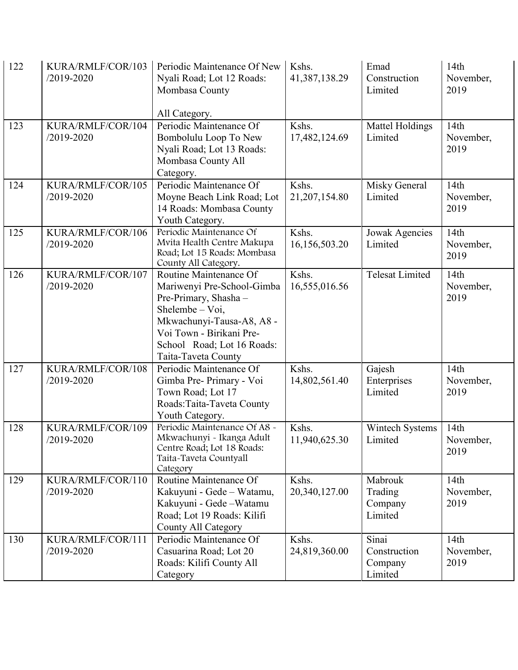| 122 | KURA/RMLF/COR/103<br>/2019-2020     | Periodic Maintenance Of New<br>Nyali Road; Lot 12 Roads:<br>Mombasa County<br>All Category.                                                                                                                      | Kshs.<br>41,387,138.29   | Emad<br>Construction<br>Limited             | 14th<br>November,<br>2019 |
|-----|-------------------------------------|------------------------------------------------------------------------------------------------------------------------------------------------------------------------------------------------------------------|--------------------------|---------------------------------------------|---------------------------|
| 123 | KURA/RMLF/COR/104<br>/2019-2020     | Periodic Maintenance Of<br>Bombolulu Loop To New<br>Nyali Road; Lot 13 Roads:<br>Mombasa County All<br>Category.                                                                                                 | Kshs.<br>17,482,124.69   | Mattel Holdings<br>Limited                  | 14th<br>November,<br>2019 |
| 124 | KURA/RMLF/COR/105<br>/2019-2020     | Periodic Maintenance Of<br>Moyne Beach Link Road; Lot<br>14 Roads: Mombasa County<br>Youth Category.                                                                                                             | Kshs.<br>21, 207, 154.80 | Misky General<br>Limited                    | 14th<br>November,<br>2019 |
| 125 | KURA/RMLF/COR/106<br>/2019-2020     | Periodic Maintenance Of<br>Mvita Health Centre Makupa<br>Road; Lot 15 Roads: Mombasa<br>County All Category.                                                                                                     | Kshs.<br>16,156,503.20   | Jowak Agencies<br>Limited                   | 14th<br>November,<br>2019 |
| 126 | KURA/RMLF/COR/107<br>/2019-2020     | Routine Maintenance Of<br>Mariwenyi Pre-School-Gimba<br>Pre-Primary, Shasha -<br>Shelembe $-$ Voi,<br>Mkwachunyi-Tausa-A8, A8 -<br>Voi Town - Birikani Pre-<br>School Road; Lot 16 Roads:<br>Taita-Taveta County | Kshs.<br>16,555,016.56   | <b>Telesat Limited</b>                      | 14th<br>November,<br>2019 |
| 127 | KURA/RMLF/COR/108<br>/2019-2020     | Periodic Maintenance Of<br>Gimba Pre- Primary - Voi<br>Town Road; Lot 17<br>Roads: Taita-Taveta County<br>Youth Category.                                                                                        | Kshs.<br>14,802,561.40   | Gajesh<br>Enterprises<br>Limited            | 14th<br>November,<br>2019 |
| 128 | KURA/RMLF/COR/109<br>$/2019 - 2020$ | Periodic Maintenance Of A8 -<br>Mkwachunyi - Ikanga Adult<br>Centre Road; Lot 18 Roads:<br>Taita-Taveta Countyall<br>Category                                                                                    | Kshs.<br>11,940,625.30   | Wintech Systems<br>Limited                  | 14th<br>November,<br>2019 |
| 129 | KURA/RMLF/COR/110<br>/2019-2020     | Routine Maintenance Of<br>Kakuyuni - Gede - Watamu,<br>Kakuyuni - Gede - Watamu<br>Road; Lot 19 Roads: Kilifi<br><b>County All Category</b>                                                                      | Kshs.<br>20,340,127.00   | Mabrouk<br>Trading<br>Company<br>Limited    | 14th<br>November,<br>2019 |
| 130 | KURA/RMLF/COR/111<br>/2019-2020     | Periodic Maintenance Of<br>Casuarina Road; Lot 20<br>Roads: Kilifi County All<br>Category                                                                                                                        | Kshs.<br>24,819,360.00   | Sinai<br>Construction<br>Company<br>Limited | 14th<br>November,<br>2019 |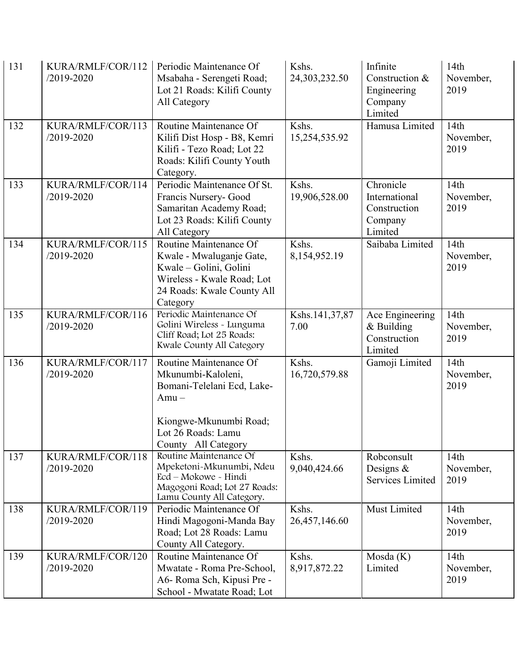| 131 | KURA/RMLF/COR/112<br>$/2019 - 2020$ | Periodic Maintenance Of<br>Msabaha - Serengeti Road;<br>Lot 21 Roads: Kilifi County<br>All Category                                                          | Kshs.<br>24,303,232.50 | Infinite<br>Construction &<br>Engineering<br>Company<br>Limited  | 14th<br>November,<br>2019 |
|-----|-------------------------------------|--------------------------------------------------------------------------------------------------------------------------------------------------------------|------------------------|------------------------------------------------------------------|---------------------------|
| 132 | KURA/RMLF/COR/113<br>/2019-2020     | Routine Maintenance Of<br>Kilifi Dist Hosp - B8, Kemri<br>Kilifi - Tezo Road; Lot 22<br>Roads: Kilifi County Youth<br>Category.                              | Kshs.<br>15,254,535.92 | Hamusa Limited                                                   | 14th<br>November,<br>2019 |
| 133 | KURA/RMLF/COR/114<br>/2019-2020     | Periodic Maintenance Of St.<br>Francis Nursery- Good<br>Samaritan Academy Road;<br>Lot 23 Roads: Kilifi County<br>All Category                               | Kshs.<br>19,906,528.00 | Chronicle<br>International<br>Construction<br>Company<br>Limited | 14th<br>November,<br>2019 |
| 134 | KURA/RMLF/COR/115<br>/2019-2020     | Routine Maintenance Of<br>Kwale - Mwaluganje Gate,<br>Kwale - Golini, Golini<br>Wireless - Kwale Road; Lot<br>24 Roads: Kwale County All<br>Category         | Kshs.<br>8,154,952.19  | Saibaba Limited                                                  | 14th<br>November,<br>2019 |
| 135 | KURA/RMLF/COR/116<br>/2019-2020     | Periodic Maintenance Of<br>Golini Wireless - Lunguma<br>Cliff Road; Lot 25 Roads:<br>Kwale County All Category                                               | Kshs.141,37,87<br>7.00 | Ace Engineering<br>& Building<br>Construction<br>Limited         | 14th<br>November,<br>2019 |
| 136 | KURA/RMLF/COR/117<br>/2019-2020     | Routine Maintenance Of<br>Mkunumbi-Kaloleni,<br>Bomani-Telelani Ecd, Lake-<br>$Amu -$<br>Kiongwe-Mkunumbi Road;<br>Lot 26 Roads: Lamu<br>County All Category | Kshs.<br>16,720,579.88 | Gamoji Limited                                                   | 14th<br>November,<br>2019 |
| 137 | KURA/RMLF/COR/118<br>/2019-2020     | Routine Maintenance Of<br>Mpeketoni-Mkunumbi, Ndeu<br>Ecd - Mokowe - Hindi<br>Magogoni Road; Lot 27 Roads:<br>Lamu County All Category.                      | Kshs.<br>9,040,424.66  | Robconsult<br>Designs $&$<br><b>Services Limited</b>             | 14th<br>November,<br>2019 |
| 138 | KURA/RMLF/COR/119<br>$/2019 - 2020$ | Periodic Maintenance Of<br>Hindi Magogoni-Manda Bay<br>Road; Lot 28 Roads: Lamu<br>County All Category.                                                      | Kshs.<br>26,457,146.60 | Must Limited                                                     | 14th<br>November,<br>2019 |
| 139 | KURA/RMLF/COR/120<br>/2019-2020     | Routine Maintenance Of<br>Mwatate - Roma Pre-School,<br>A6- Roma Sch, Kipusi Pre -<br>School - Mwatate Road; Lot                                             | Kshs.<br>8,917,872.22  | Mosda (K)<br>Limited                                             | 14th<br>November,<br>2019 |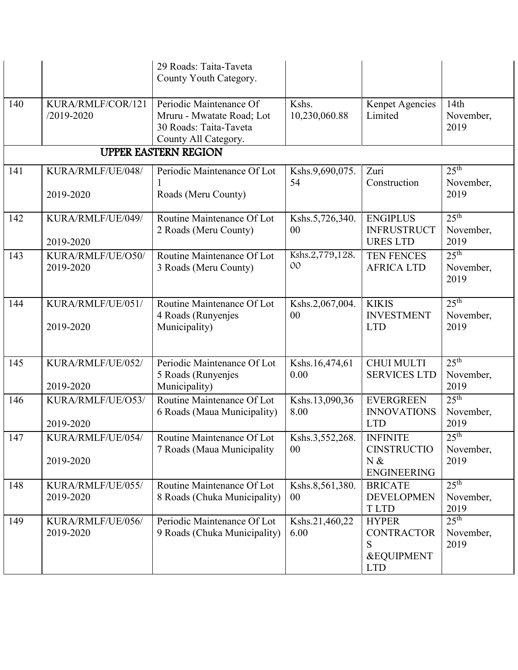|     |                                 | 29 Roads: Taita-Taveta<br>County Youth Category.                                                       |                        |                                                                               |                                       |
|-----|---------------------------------|--------------------------------------------------------------------------------------------------------|------------------------|-------------------------------------------------------------------------------|---------------------------------------|
| 140 | KURA/RMLF/COR/121<br>/2019-2020 | Periodic Maintenance Of<br>Mruru - Mwatate Road; Lot<br>30 Roads: Taita-Taveta<br>County All Category. | Kshs.<br>10,230,060.88 | Kenpet Agencies<br>Limited                                                    | 14th<br>November,<br>2019             |
|     |                                 | <b>UPPER EASTERN REGION</b>                                                                            |                        |                                                                               |                                       |
| 141 | KURA/RMLF/UE/048/<br>2019-2020  | Periodic Maintenance Of Lot<br>Roads (Meru County)                                                     | Kshs.9,690,075.<br>54  | Zuri<br>Construction                                                          | 25 <sup>th</sup><br>November,<br>2019 |
| 142 | KURA/RMLF/UE/049/<br>2019-2020  | Routine Maintenance Of Lot<br>2 Roads (Meru County)                                                    | Kshs.5,726,340.<br>00  | <b>ENGIPLUS</b><br><b>INFRUSTRUCT</b><br><b>URES LTD</b>                      | 25 <sup>th</sup><br>November,<br>2019 |
| 143 | KURA/RMLF/UE/O50/<br>2019-2020  | Routine Maintenance Of Lot<br>3 Roads (Meru County)                                                    | Kshs.2,779,128.<br>00  | TEN FENCES<br><b>AFRICA LTD</b>                                               | $25^{\text{th}}$<br>November,<br>2019 |
| 144 | KURA/RMLF/UE/051/<br>2019-2020  | Routine Maintenance Of Lot<br>4 Roads (Runyenjes<br>Municipality)                                      | Kshs.2,067,004.<br>00  | <b>KIKIS</b><br><b>INVESTMENT</b><br><b>LTD</b>                               | 25 <sup>th</sup><br>November,<br>2019 |
| 145 | KURA/RMLF/UE/052/<br>2019-2020  | Periodic Maintenance Of Lot<br>5 Roads (Runyenjes<br>Municipality)                                     | Kshs.16,474,61<br>0.00 | <b>CHUI MULTI</b><br><b>SERVICES LTD</b>                                      | 25 <sup>th</sup><br>November,<br>2019 |
| 146 | KURA/RMLF/UE/O53/<br>2019-2020  | Routine Maintenance Of Lot<br>6 Roads (Maua Municipality)                                              | Kshs.13,090,36<br>8.00 | <b>EVERGREEN</b><br><b>INNOVATIONS</b><br><b>LTD</b>                          | $25^{\text{th}}$<br>November,<br>2019 |
| 147 | KURA/RMLF/UE/054/<br>2019-2020  | Routine Maintenance Of Lot<br>7 Roads (Maua Municipality                                               | Kshs.3,552,268.<br>00  | <b>INFINITE</b><br><b>CINSTRUCTIO</b><br>N &<br><b>ENGINEERING</b>            | 25 <sup>th</sup><br>November,<br>2019 |
| 148 | KURA/RMLF/UE/055/<br>2019-2020  | Routine Maintenance Of Lot<br>8 Roads (Chuka Municipality)                                             | Kshs.8,561,380.<br>00  | <b>BRICATE</b><br><b>DEVELOPMEN</b><br><b>TLTD</b>                            | 25 <sup>th</sup><br>November,<br>2019 |
| 149 | KURA/RMLF/UE/056/<br>2019-2020  | Periodic Maintenance Of Lot<br>9 Roads (Chuka Municipality)                                            | Kshs.21,460,22<br>6.00 | <b>HYPER</b><br><b>CONTRACTOR</b><br>S<br><b>&amp;EQUIPMENT</b><br><b>LTD</b> | 25 <sup>th</sup><br>November,<br>2019 |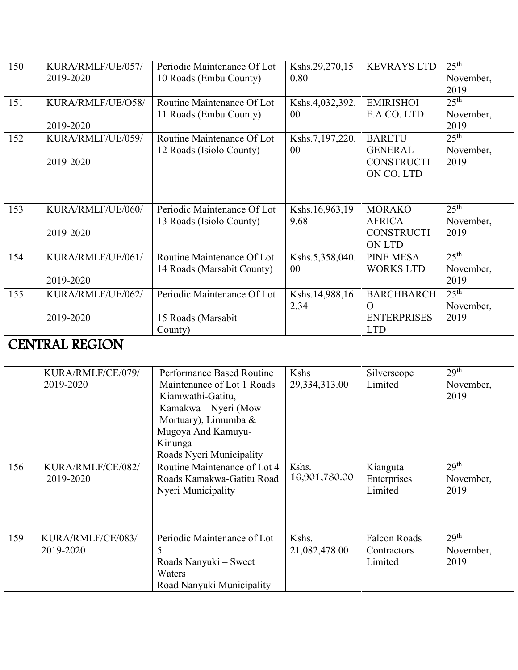| 150 | KURA/RMLF/UE/057/<br>2019-2020 | Periodic Maintenance Of Lot<br>10 Roads (Embu County)                                                                                                                                       | Kshs.29,270,15<br>0.80 | <b>KEVRAYS LTD</b>                                                   | $25^{\text{th}}$<br>November,<br>2019 |
|-----|--------------------------------|---------------------------------------------------------------------------------------------------------------------------------------------------------------------------------------------|------------------------|----------------------------------------------------------------------|---------------------------------------|
| 151 | KURA/RMLF/UE/O58/<br>2019-2020 | Routine Maintenance Of Lot<br>11 Roads (Embu County)                                                                                                                                        | Kshs.4,032,392.<br>00  | <b>EMIRISHOI</b><br>E.A CO. LTD                                      | 25 <sup>th</sup><br>November,<br>2019 |
| 152 | KURA/RMLF/UE/059/<br>2019-2020 | Routine Maintenance Of Lot<br>12 Roads (Isiolo County)                                                                                                                                      | Kshs.7,197,220.<br>00  | <b>BARETU</b><br><b>GENERAL</b><br><b>CONSTRUCTI</b><br>ON CO. LTD   | 25 <sup>th</sup><br>November,<br>2019 |
| 153 | KURA/RMLF/UE/060/<br>2019-2020 | Periodic Maintenance Of Lot<br>13 Roads (Isiolo County)                                                                                                                                     | Kshs.16,963,19<br>9.68 | <b>MORAKO</b><br><b>AFRICA</b><br><b>CONSTRUCTI</b><br><b>ON LTD</b> | 25 <sup>th</sup><br>November,<br>2019 |
| 154 | KURA/RMLF/UE/061/<br>2019-2020 | Routine Maintenance Of Lot<br>14 Roads (Marsabit County)                                                                                                                                    | Kshs.5,358,040.<br>00  | <b>PINE MESA</b><br><b>WORKS LTD</b>                                 | 25 <sup>th</sup><br>November,<br>2019 |
| 155 | KURA/RMLF/UE/062/<br>2019-2020 | Periodic Maintenance Of Lot<br>15 Roads (Marsabit<br>County)                                                                                                                                | Kshs.14,988,16<br>2.34 | <b>BARCHBARCH</b><br>$\Omega$<br><b>ENTERPRISES</b><br><b>LTD</b>    | 25 <sup>th</sup><br>November,<br>2019 |
|     | <b>CENTRAL REGION</b>          |                                                                                                                                                                                             |                        |                                                                      |                                       |
|     | KURA/RMLF/CE/079/<br>2019-2020 | Performance Based Routine<br>Maintenance of Lot 1 Roads<br>Kiamwathi-Gatitu,<br>Kamakwa - Nyeri (Mow -<br>Mortuary), Limumba &<br>Mugoya And Kamuyu-<br>Kinunga<br>Roads Nyeri Municipality | Kshs<br>29,334,313.00  | Silverscope<br>Limited                                               | 29 <sup>th</sup><br>November,<br>2019 |
| 156 | KURA/RMLF/CE/082/<br>2019-2020 | Routine Maintenance of Lot 4<br>Roads Kamakwa-Gatitu Road<br>Nyeri Municipality                                                                                                             | Kshs.<br>16,901,780.00 | Kianguta<br>Enterprises<br>Limited                                   | 29 <sup>th</sup><br>November,<br>2019 |
| 159 | KURA/RMLF/CE/083/<br>2019-2020 | Periodic Maintenance of Lot<br>5<br>Roads Nanyuki – Sweet<br>Waters<br>Road Nanyuki Municipality                                                                                            | Kshs.<br>21,082,478.00 | <b>Falcon Roads</b><br>Contractors<br>Limited                        | 29 <sup>th</sup><br>November,<br>2019 |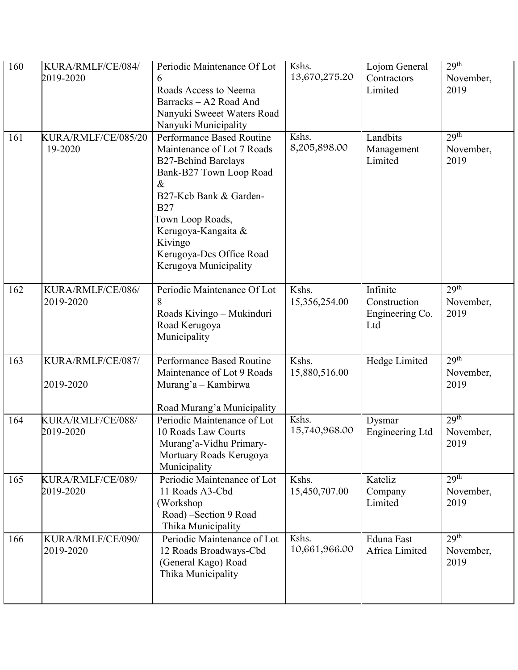| 160 | KURA/RMLF/CE/084/<br>2019-2020 | Periodic Maintenance Of Lot<br>6<br>Roads Access to Neema<br>Barracks - A2 Road And<br>Nanyuki Sweeet Waters Road<br>Nanyuki Municipality                                                                                                                                   | Kshs.<br>13,670,275.20 | Lojom General<br>Contractors<br>Limited            | 29 <sup>th</sup><br>November,<br>2019 |
|-----|--------------------------------|-----------------------------------------------------------------------------------------------------------------------------------------------------------------------------------------------------------------------------------------------------------------------------|------------------------|----------------------------------------------------|---------------------------------------|
| 161 | KURA/RMLF/CE/085/20<br>19-2020 | Performance Based Routine<br>Maintenance of Lot 7 Roads<br><b>B27-Behind Barclays</b><br>Bank-B27 Town Loop Road<br>$\&$<br>B27-Kcb Bank & Garden-<br><b>B27</b><br>Town Loop Roads,<br>Kerugoya-Kangaita &<br>Kivingo<br>Kerugoya-Dcs Office Road<br>Kerugoya Municipality | Kshs.<br>8,205,898.00  | Landbits<br>Management<br>Limited                  | 29 <sup>th</sup><br>November,<br>2019 |
| 162 | KURA/RMLF/CE/086/<br>2019-2020 | Periodic Maintenance Of Lot<br>8<br>Roads Kivingo - Mukinduri<br>Road Kerugoya<br>Municipality                                                                                                                                                                              | Kshs.<br>15,356,254.00 | Infinite<br>Construction<br>Engineering Co.<br>Ltd | 29 <sup>th</sup><br>November,<br>2019 |
| 163 | KURA/RMLF/CE/087/<br>2019-2020 | Performance Based Routine<br>Maintenance of Lot 9 Roads<br>Murang'a - Kambirwa<br>Road Murang'a Municipality                                                                                                                                                                | Kshs.<br>15,880,516.00 | Hedge Limited                                      | 29 <sup>th</sup><br>November,<br>2019 |
| 164 | KURA/RMLF/CE/088/<br>2019-2020 | Periodic Maintenance of Lot<br>10 Roads Law Courts<br>Murang'a-Vidhu Primary-<br>Mortuary Roads Kerugoya<br>Municipality                                                                                                                                                    | Kshs.<br>15,740,968.00 | Dysmar<br><b>Engineering Ltd</b>                   | 29 <sup>th</sup><br>November,<br>2019 |
| 165 | KURA/RMLF/CE/089/<br>2019-2020 | Periodic Maintenance of Lot<br>11 Roads A3-Cbd<br>(Workshop<br>Road) -Section 9 Road<br>Thika Municipality                                                                                                                                                                  | Kshs.<br>15,450,707.00 | Kateliz<br>Company<br>Limited                      | 29 <sup>th</sup><br>November,<br>2019 |
| 166 | KURA/RMLF/CE/090/<br>2019-2020 | Periodic Maintenance of Lot<br>12 Roads Broadways-Cbd<br>(General Kago) Road<br>Thika Municipality                                                                                                                                                                          | Kshs.<br>10,661,966.00 | Eduna East<br>Africa Limited                       | 29 <sup>th</sup><br>November,<br>2019 |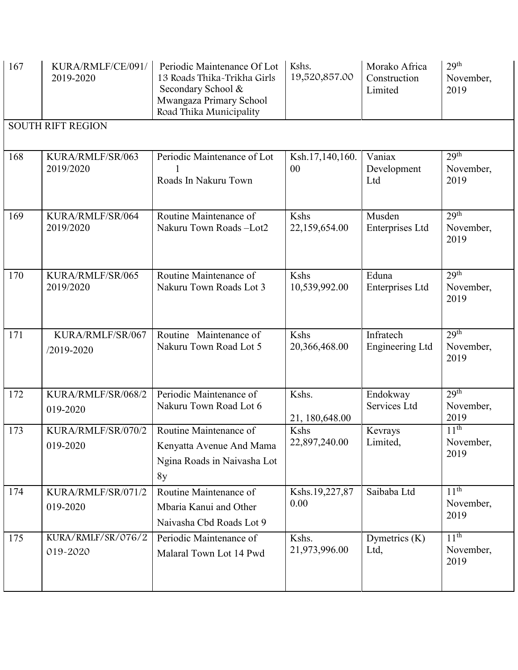| 167 | KURA/RMLF/CE/091/<br>2019-2020 | Periodic Maintenance Of Lot<br>13 Roads Thika-Trikha Girls<br>Secondary School &<br>Mwangaza Primary School<br>Road Thika Municipality | Kshs.<br>19,520,857.00   | Morako Africa<br>Construction<br>Limited | 29 <sup>th</sup><br>November,<br>2019 |
|-----|--------------------------------|----------------------------------------------------------------------------------------------------------------------------------------|--------------------------|------------------------------------------|---------------------------------------|
|     | <b>SOUTH RIFT REGION</b>       |                                                                                                                                        |                          |                                          |                                       |
| 168 | KURA/RMLF/SR/063<br>2019/2020  | Periodic Maintenance of Lot<br>Roads In Nakuru Town                                                                                    | Ksh.17,140,160.<br>00    | Vaniax<br>Development<br>Ltd             | 29 <sup>th</sup><br>November,<br>2019 |
| 169 | KURA/RMLF/SR/064<br>2019/2020  | Routine Maintenance of<br>Nakuru Town Roads-Lot2                                                                                       | Kshs<br>22,159,654.00    | Musden<br>Enterprises Ltd                | 29 <sup>th</sup><br>November,<br>2019 |
| 170 | KURA/RMLF/SR/065<br>2019/2020  | Routine Maintenance of<br>Nakuru Town Roads Lot 3                                                                                      | Kshs<br>10,539,992.00    | Eduna<br><b>Enterprises Ltd</b>          | 29 <sup>th</sup><br>November,<br>2019 |
| 171 | KURA/RMLF/SR/067<br>/2019-2020 | Routine Maintenance of<br>Nakuru Town Road Lot 5                                                                                       | Kshs<br>20,366,468.00    | Infratech<br><b>Engineering Ltd</b>      | 29 <sup>th</sup><br>November,<br>2019 |
| 172 | KURA/RMLF/SR/068/2<br>019-2020 | Periodic Maintenance of<br>Nakuru Town Road Lot 6                                                                                      | Kshs.<br>21, 180, 648.00 | Endokway<br>Services Ltd                 | 29 <sup>th</sup><br>November,<br>2019 |
| 173 | KURA/RMLF/SR/070/2<br>019-2020 | Routine Maintenance of<br>Kenyatta Avenue And Mama<br>Ngina Roads in Naivasha Lot<br>8y                                                | Kshs<br>22,897,240.00    | Kevrays<br>Limited,                      | 11 <sup>th</sup><br>November,<br>2019 |
| 174 | KURA/RMLF/SR/071/2<br>019-2020 | Routine Maintenance of<br>Mbaria Kanui and Other<br>Naivasha Cbd Roads Lot 9                                                           | Kshs.19,227,87<br>0.00   | Saibaba Ltd                              | 11 <sup>th</sup><br>November,<br>2019 |
| 175 | KURA/RMLF/SR/076/2<br>019-2020 | Periodic Maintenance of<br>Malaral Town Lot 14 Pwd                                                                                     | Kshs.<br>21,973,996.00   | Dymetrics (K)<br>Ltd,                    | 11 <sup>th</sup><br>November,<br>2019 |